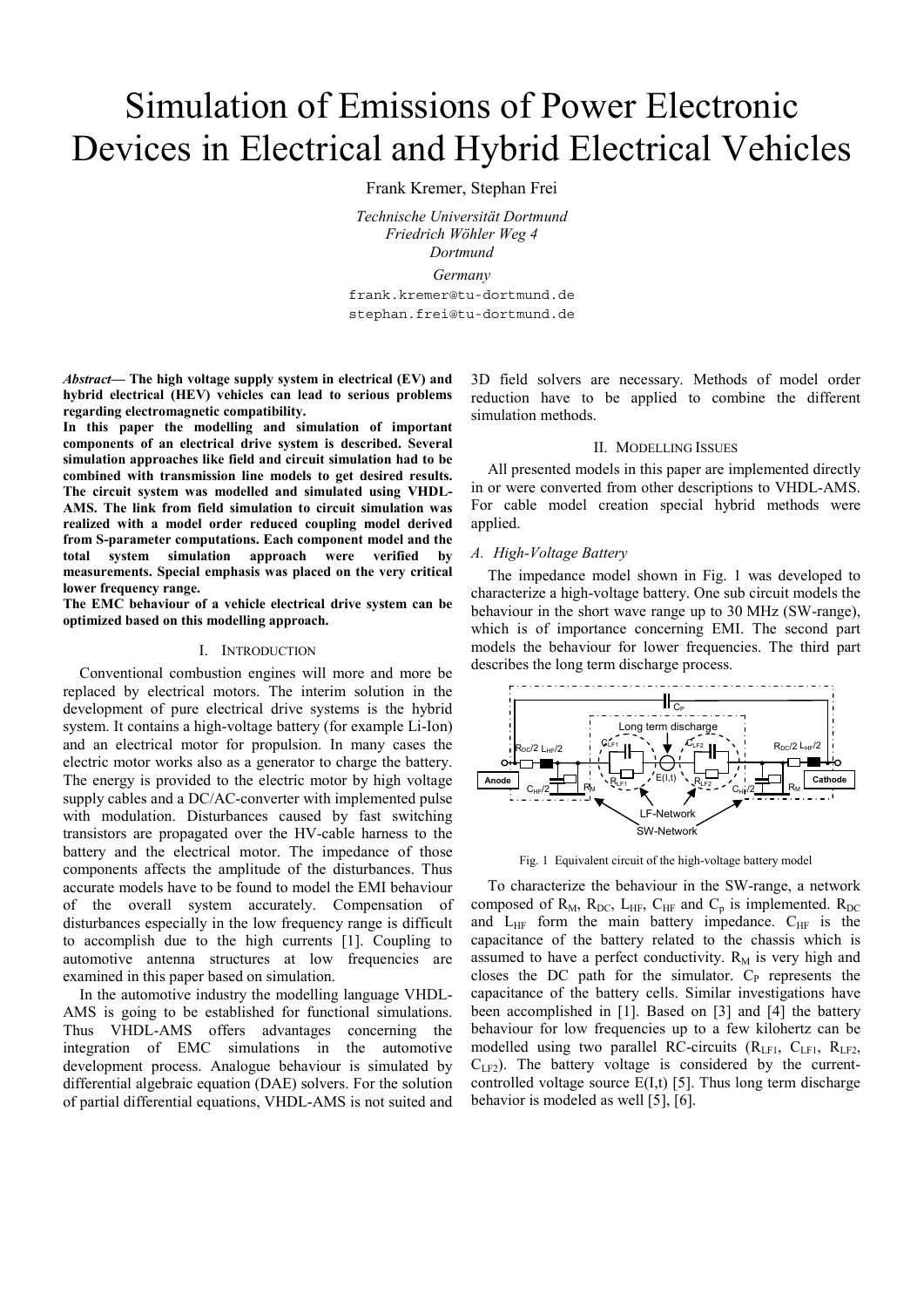# Simulation of Emissions of Power Electronic Devices in Electrical and Hybrid Electrical Vehicles

Frank Kremer, Stephan Frei

*Technische Universität Dortmund Friedrich Wöhler Weg 4 Dortmund Germany* 

frank.kremer@tu-dortmund.de stephan.frei@tu-dortmund.de

*Abstract***— The high voltage supply system in electrical (EV) and hybrid electrical (HEV) vehicles can lead to serious problems regarding electromagnetic compatibility.** 

**In this paper the modelling and simulation of important components of an electrical drive system is described. Several simulation approaches like field and circuit simulation had to be combined with transmission line models to get desired results. The circuit system was modelled and simulated using VHDL-AMS. The link from field simulation to circuit simulation was realized with a model order reduced coupling model derived from S-parameter computations. Each component model and the total system simulation approach were verified by measurements. Special emphasis was placed on the very critical lower frequency range.** 

**The EMC behaviour of a vehicle electrical drive system can be optimized based on this modelling approach.** 

## I. INTRODUCTION

Conventional combustion engines will more and more be replaced by electrical motors. The interim solution in the development of pure electrical drive systems is the hybrid system. It contains a high-voltage battery (for example Li-Ion) and an electrical motor for propulsion. In many cases the electric motor works also as a generator to charge the battery. The energy is provided to the electric motor by high voltage supply cables and a DC/AC-converter with implemented pulse with modulation. Disturbances caused by fast switching transistors are propagated over the HV-cable harness to the battery and the electrical motor. The impedance of those components affects the amplitude of the disturbances. Thus accurate models have to be found to model the EMI behaviour of the overall system accurately. Compensation of disturbances especially in the low frequency range is difficult to accomplish due to the high currents [1]. Coupling to automotive antenna structures at low frequencies are examined in this paper based on simulation.

In the automotive industry the modelling language VHDL-AMS is going to be established for functional simulations. Thus VHDL-AMS offers advantages concerning the integration of EMC simulations in the automotive development process. Analogue behaviour is simulated by differential algebraic equation (DAE) solvers. For the solution of partial differential equations, VHDL-AMS is not suited and

3D field solvers are necessary. Methods of model order reduction have to be applied to combine the different simulation methods.

#### II. MODELLING ISSUES

All presented models in this paper are implemented directly in or were converted from other descriptions to VHDL-AMS. For cable model creation special hybrid methods were applied.

## *A. High-Voltage Battery*

The impedance model shown in Fig. 1 was developed to characterize a high-voltage battery. One sub circuit models the behaviour in the short wave range up to 30 MHz (SW-range), which is of importance concerning EMI. The second part models the behaviour for lower frequencies. The third part describes the long term discharge process.



Fig. 1 Equivalent circuit of the high-voltage battery model

To characterize the behaviour in the SW-range, a network composed of  $R_M$ ,  $R_{DC}$ ,  $L_{HF}$ ,  $C_{HF}$  and  $C_p$  is implemented.  $R_{DC}$ and  $L_{HF}$  form the main battery impedance.  $C_{HF}$  is the capacitance of the battery related to the chassis which is assumed to have a perfect conductivity.  $R_M$  is very high and closes the DC path for the simulator.  $C_{P}$  represents the capacitance of the battery cells. Similar investigations have been accomplished in [1]. Based on [3] and [4] the battery behaviour for low frequencies up to a few kilohertz can be modelled using two parallel RC-circuits  $(R<sub>LF1</sub>, C<sub>LF1</sub>, R<sub>LF2</sub>)$  $C<sub>LE2</sub>$ ). The battery voltage is considered by the currentcontrolled voltage source  $E(I,t)$  [5]. Thus long term discharge behavior is modeled as well [5], [6].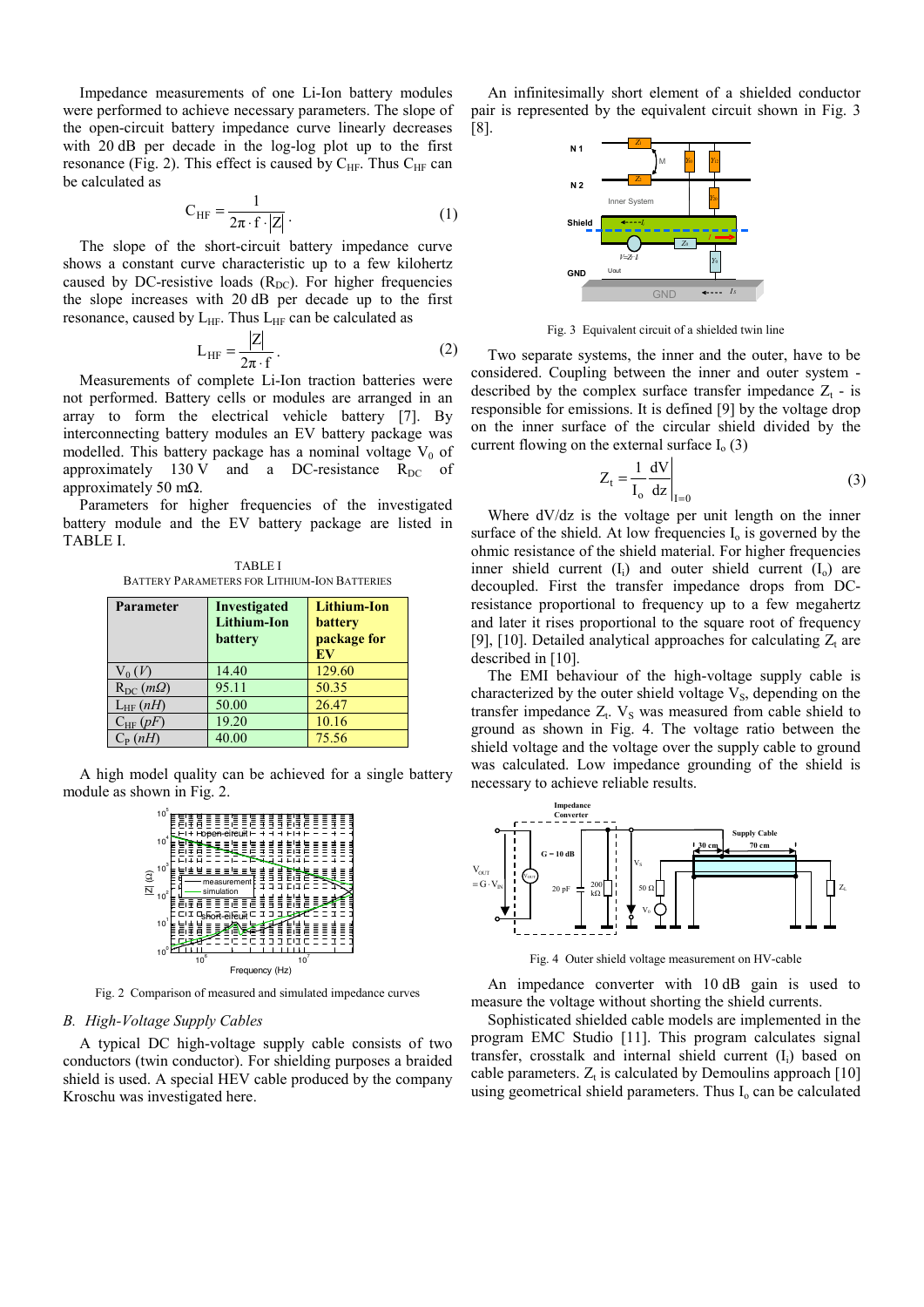Impedance measurements of one Li-Ion battery modules were performed to achieve necessary parameters. The slope of the open-circuit battery impedance curve linearly decreases with 20 dB per decade in the log-log plot up to the first resonance (Fig. 2). This effect is caused by  $C_{HF}$ . Thus  $C_{HF}$  can be calculated as

$$
C_{HF} = \frac{1}{2\pi \cdot f \cdot |Z|} \tag{1}
$$

The slope of the short-circuit battery impedance curve shows a constant curve characteristic up to a few kilohertz caused by DC-resistive loads  $(R_{DC})$ . For higher frequencies the slope increases with 20 dB per decade up to the first resonance, caused by  $L_{HF}$ . Thus  $L_{HF}$  can be calculated as

$$
L_{HF} = \frac{|Z|}{2\pi \cdot f} \,. \tag{2}
$$

Measurements of complete Li-Ion traction batteries were not performed. Battery cells or modules are arranged in an array to form the electrical vehicle battery [7]. By interconnecting battery modules an EV battery package was modelled. This battery package has a nominal voltage  $V_0$  of approximately 130 V and a DC-resistance  $R_{DC}$ approximately 50 mΩ.

Parameters for higher frequencies of the investigated battery module and the EV battery package are listed in TABLE I.

TABLE I BATTERY PARAMETERS FOR LITHIUM-ION BATTERIES

| Parameter         | Investigated<br><b>Lithium-Ion</b><br>battery | <b>Lithium-Ion</b><br>battery<br>package for<br>EV |
|-------------------|-----------------------------------------------|----------------------------------------------------|
| $V_0(V)$          | 14.40                                         | 129.60                                             |
| $R_{DC}(m\Omega)$ | 95.11                                         | 50.35                                              |
| $L_{HF}(nH)$      | 50.00                                         | 26.47                                              |
| $C_{HF}(pF)$      | 19.20                                         | 10.16                                              |
| $C_{\rm P}$ (nH)  | 40.00                                         | 75.56                                              |

A high model quality can be achieved for a single battery module as shown in Fig. 2.



Fig. 2 Comparison of measured and simulated impedance curves

## *B. High-Voltage Supply Cables*

A typical DC high-voltage supply cable consists of two conductors (twin conductor). For shielding purposes a braided shield is used. A special HEV cable produced by the company Kroschu was investigated here.

An infinitesimally short element of a shielded conductor pair is represented by the equivalent circuit shown in Fig. 3  $[8]$ .



Fig. 3 Equivalent circuit of a shielded twin line

Two separate systems, the inner and the outer, have to be considered. Coupling between the inner and outer system described by the complex surface transfer impedance  $Z_t$  - is responsible for emissions. It is defined [9] by the voltage drop on the inner surface of the circular shield divided by the current flowing on the external surface  $I_0$  (3)

$$
Z_{t} = \frac{1}{I_{o}} \frac{dV}{dz}\bigg|_{I=0}
$$
 (3)

Where dV/dz is the voltage per unit length on the inner surface of the shield. At low frequencies  $I_0$  is governed by the ohmic resistance of the shield material. For higher frequencies inner shield current  $(I_i)$  and outer shield current  $(I_o)$  are decoupled. First the transfer impedance drops from DCresistance proportional to frequency up to a few megahertz and later it rises proportional to the square root of frequency [9], [10]. Detailed analytical approaches for calculating  $Z_t$  are described in [10].

The EMI behaviour of the high-voltage supply cable is characterized by the outer shield voltage  $V<sub>S</sub>$ , depending on the transfer impedance  $Z_t$ .  $V_s$  was measured from cable shield to ground as shown in Fig. 4. The voltage ratio between the shield voltage and the voltage over the supply cable to ground was calculated. Low impedance grounding of the shield is necessary to achieve reliable results.



Fig. 4 Outer shield voltage measurement on HV-cable

An impedance converter with 10 dB gain is used to measure the voltage without shorting the shield currents.

Sophisticated shielded cable models are implemented in the program EMC Studio [11]. This program calculates signal transfer, crosstalk and internal shield current  $(I_i)$  based on cable parameters.  $Z_t$  is calculated by Demoulins approach [10] using geometrical shield parameters. Thus  $I_0$  can be calculated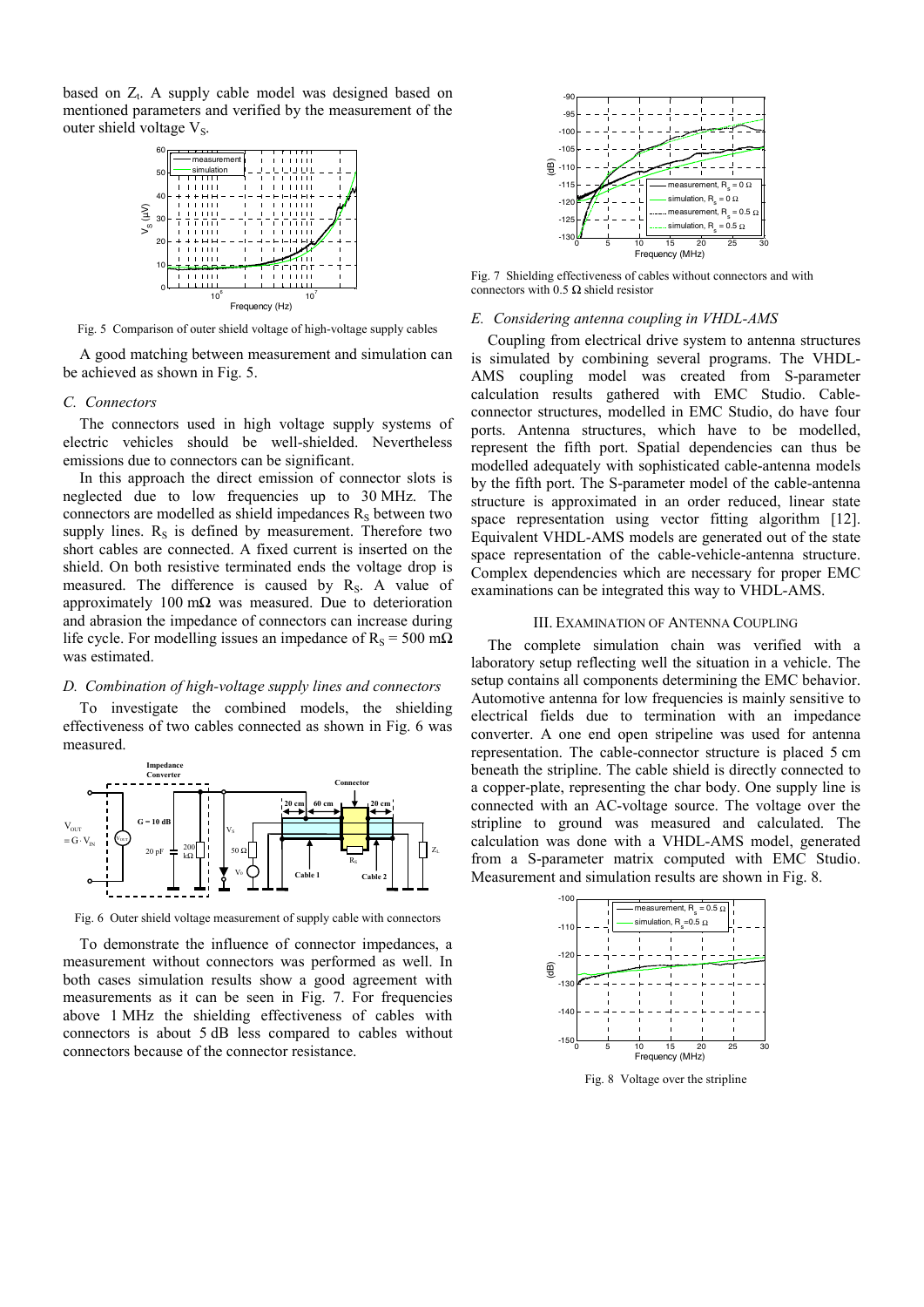based on  $Z_t$ . A supply cable model was designed based on mentioned parameters and verified by the measurement of the outer shield voltage  $V_s$ .



Fig. 5 Comparison of outer shield voltage of high-voltage supply cables

A good matching between measurement and simulation can be achieved as shown in Fig. 5.

## *C. Connectors*

The connectors used in high voltage supply systems of electric vehicles should be well-shielded. Nevertheless emissions due to connectors can be significant.

In this approach the direct emission of connector slots is neglected due to low frequencies up to 30 MHz. The connectors are modelled as shield impedances  $R<sub>S</sub>$  between two supply lines.  $R<sub>S</sub>$  is defined by measurement. Therefore two short cables are connected. A fixed current is inserted on the shield. On both resistive terminated ends the voltage drop is measured. The difference is caused by  $R<sub>S</sub>$ . A value of approximately 100 mΩ was measured. Due to deterioration and abrasion the impedance of connectors can increase during life cycle. For modelling issues an impedance of  $R_s = 500$  m $\Omega$ was estimated.

## *D. Combination of high-voltage supply lines and connectors*

To investigate the combined models, the shielding effectiveness of two cables connected as shown in Fig. 6 was measured.



Fig. 6 Outer shield voltage measurement of supply cable with connectors

To demonstrate the influence of connector impedances, a measurement without connectors was performed as well. In both cases simulation results show a good agreement with measurements as it can be seen in Fig. 7. For frequencies above 1 MHz the shielding effectiveness of cables with connectors is about 5 dB less compared to cables without connectors because of the connector resistance.



Fig. 7 Shielding effectiveness of cables without connectors and with connectors with 0.5  $\Omega$  shield resistor

#### *E. Considering antenna coupling in VHDL-AMS*

Coupling from electrical drive system to antenna structures is simulated by combining several programs. The VHDL-AMS coupling model was created from S-parameter calculation results gathered with EMC Studio. Cableconnector structures, modelled in EMC Studio, do have four ports. Antenna structures, which have to be modelled, represent the fifth port. Spatial dependencies can thus be modelled adequately with sophisticated cable-antenna models by the fifth port. The S-parameter model of the cable-antenna structure is approximated in an order reduced, linear state space representation using vector fitting algorithm [12]. Equivalent VHDL-AMS models are generated out of the state space representation of the cable-vehicle-antenna structure. Complex dependencies which are necessary for proper EMC examinations can be integrated this way to VHDL-AMS.

## III. EXAMINATION OF ANTENNA COUPLING

The complete simulation chain was verified with a laboratory setup reflecting well the situation in a vehicle. The setup contains all components determining the EMC behavior. Automotive antenna for low frequencies is mainly sensitive to electrical fields due to termination with an impedance converter. A one end open stripeline was used for antenna representation. The cable-connector structure is placed 5 cm beneath the stripline. The cable shield is directly connected to a copper-plate, representing the char body. One supply line is connected with an AC-voltage source. The voltage over the stripline to ground was measured and calculated. The calculation was done with a VHDL-AMS model, generated from a S-parameter matrix computed with EMC Studio. Measurement and simulation results are shown in Fig. 8.